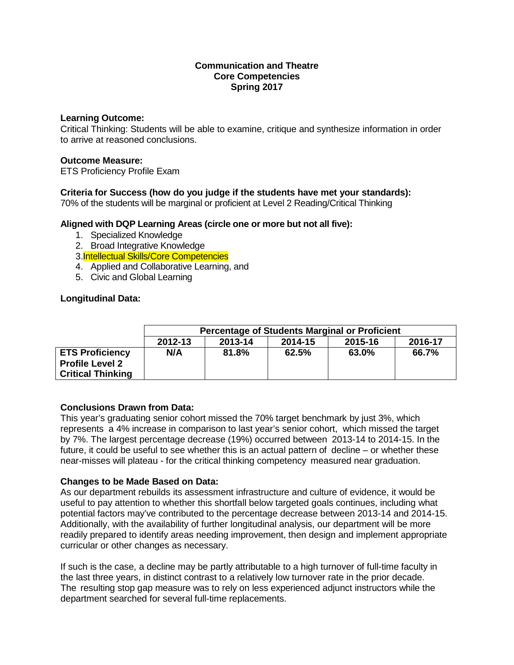#### **Learning Outcome:**

Critical Thinking: Students will be able to examine, critique and synthesize information in order to arrive at reasoned conclusions.

#### **Outcome Measure:**

ETS Proficiency Profile Exam

# **Criteria for Success (how do you judge if the students have met your standards):**

70% of the students will be marginal or proficient at Level 2 Reading/Critical Thinking

# **Aligned with DQP Learning Areas (circle one or more but not all five):**

- 1. Specialized Knowledge
- 2. Broad Integrative Knowledge

3.Intellectual Skills/Core Competencies

- 4. Applied and Collaborative Learning, and
- 5. Civic and Global Learning

# **Longitudinal Data:**

|                                                                              | <b>Percentage of Students Marginal or Proficient</b> |       |       |       |       |
|------------------------------------------------------------------------------|------------------------------------------------------|-------|-------|-------|-------|
|                                                                              | 2016-17<br>2012-13<br>2013-14<br>2014-15<br>2015-16  |       |       |       |       |
| <b>ETS Proficiency</b><br><b>Profile Level 2</b><br><b>Critical Thinking</b> | N/A                                                  | 81.8% | 62.5% | 63.0% | 66.7% |

# **Conclusions Drawn from Data:**

This year's graduating senior cohort missed the 70% target benchmark by just 3%, which represents a 4% increase in comparison to last year's senior cohort, which missed the target by 7%. The largest percentage decrease (19%) occurred between 2013-14 to 2014-15. In the future, it could be useful to see whether this is an actual pattern of decline – or whether these near-misses will plateau - for the critical thinking competency measured near graduation.

# **Changes to be Made Based on Data:**

As our department rebuilds its assessment infrastructure and culture of evidence, it would be useful to pay attention to whether this shortfall below targeted goals continues, including what potential factors may've contributed to the percentage decrease between 2013-14 and 2014-15. Additionally, with the availability of further longitudinal analysis, our department will be more readily prepared to identify areas needing improvement, then design and implement appropriate curricular or other changes as necessary.

If such is the case, a decline may be partly attributable to a high turnover of full-time faculty in the last three years, in distinct contrast to a relatively low turnover rate in the prior decade. The resulting stop gap measure was to rely on less experienced adjunct instructors while the department searched for several full-time replacements.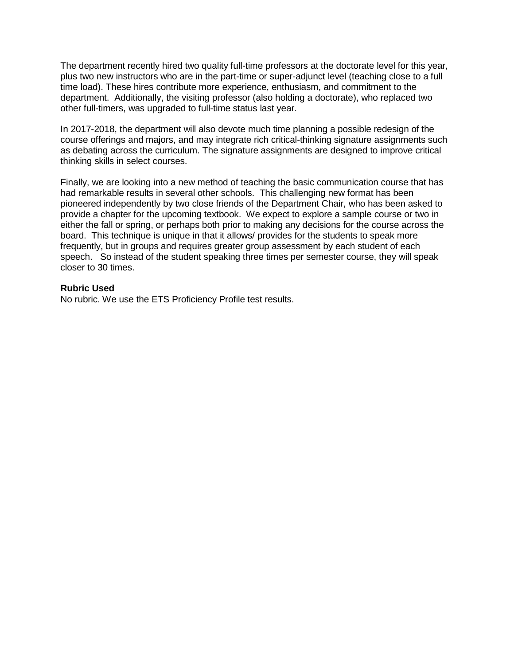The department recently hired two quality full-time professors at the doctorate level for this year, plus two new instructors who are in the part-time or super-adjunct level (teaching close to a full time load). These hires contribute more experience, enthusiasm, and commitment to the department. Additionally, the visiting professor (also holding a doctorate), who replaced two other full-timers, was upgraded to full-time status last year.

In 2017-2018, the department will also devote much time planning a possible redesign of the course offerings and majors, and may integrate rich critical-thinking signature assignments such as debating across the curriculum. The signature assignments are designed to improve critical thinking skills in select courses.

Finally, we are looking into a new method of teaching the basic communication course that has had remarkable results in several other schools. This challenging new format has been pioneered independently by two close friends of the Department Chair, who has been asked to provide a chapter for the upcoming textbook. We expect to explore a sample course or two in either the fall or spring, or perhaps both prior to making any decisions for the course across the board. This technique is unique in that it allows/ provides for the students to speak more frequently, but in groups and requires greater group assessment by each student of each speech. So instead of the student speaking three times per semester course, they will speak closer to 30 times.

#### **Rubric Used**

No rubric. We use the ETS Proficiency Profile test results.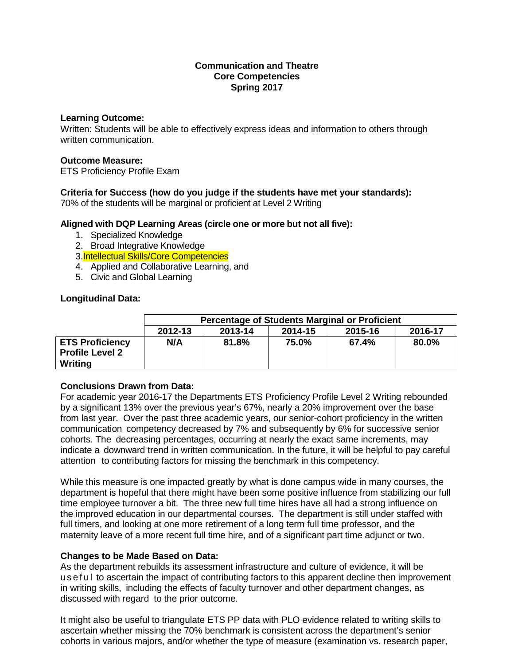#### **Learning Outcome:**

Written: Students will be able to effectively express ideas and information to others through written communication.

#### **Outcome Measure:**

ETS Proficiency Profile Exam

# **Criteria for Success (how do you judge if the students have met your standards):**

70% of the students will be marginal or proficient at Level 2 Writing

# **Aligned with DQP Learning Areas (circle one or more but not all five):**

- 1. Specialized Knowledge
- 2. Broad Integrative Knowledge

3.Intellectual Skills/Core Competencies

- 4. Applied and Collaborative Learning, and
- 5. Civic and Global Learning

# **Longitudinal Data:**

|                                                             | <b>Percentage of Students Marginal or Proficient</b> |       |       |       |       |
|-------------------------------------------------------------|------------------------------------------------------|-------|-------|-------|-------|
|                                                             | 2016-17<br>2012-13<br>2013-14<br>2014-15<br>2015-16  |       |       |       |       |
| <b>ETS Proficiency</b><br><b>Profile Level 2</b><br>Writing | N/A                                                  | 81.8% | 75.0% | 67.4% | 80.0% |

# **Conclusions Drawn from Data:**

For academic year 2016-17 the Departments ETS Proficiency Profile Level 2 Writing rebounded by a significant 13% over the previous year's 67%, nearly a 20% improvement over the base from last year. Over the past three academic years, our senior-cohort proficiency in the written communication competency decreased by 7% and subsequently by 6% for successive senior cohorts. The decreasing percentages, occurring at nearly the exact same increments, may indicate a downward trend in written communication. In the future, it will be helpful to pay careful attention to contributing factors for missing the benchmark in this competency.

While this measure is one impacted greatly by what is done campus wide in many courses, the department is hopeful that there might have been some positive influence from stabilizing our full time employee turnover a bit. The three new full time hires have all had a strong influence on the improved education in our departmental courses. The department is still under staffed with full timers, and looking at one more retirement of a long term full time professor, and the maternity leave of a more recent full time hire, and of a significant part time adjunct or two.

# **Changes to be Made Based on Data:**

As the department rebuilds its assessment infrastructure and culture of evidence, it will be useful to ascertain the impact of contributing factors to this apparent decline then improvement in writing skills, including the effects of faculty turnover and other department changes, as discussed with regard to the prior outcome.

It might also be useful to triangulate ETS PP data with PLO evidence related to writing skills to ascertain whether missing the 70% benchmark is consistent across the department's senior cohorts in various majors, and/or whether the type of measure (examination vs. research paper,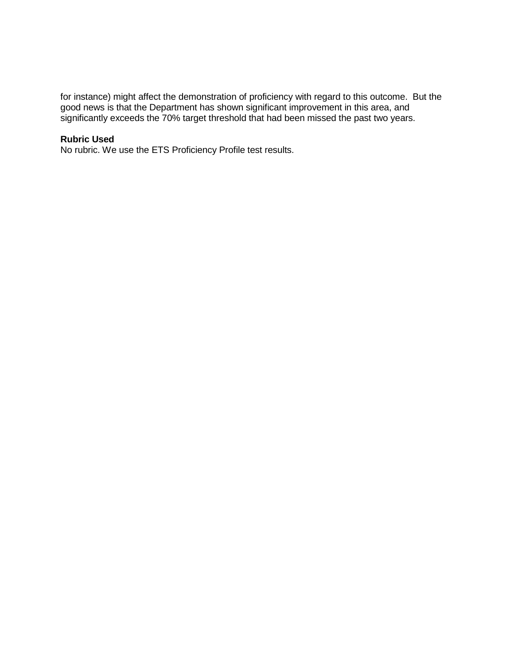for instance) might affect the demonstration of proficiency with regard to this outcome. But the good news is that the Department has shown significant improvement in this area, and significantly exceeds the 70% target threshold that had been missed the past two years.

# **Rubric Used**

No rubric. We use the ETS Proficiency Profile test results.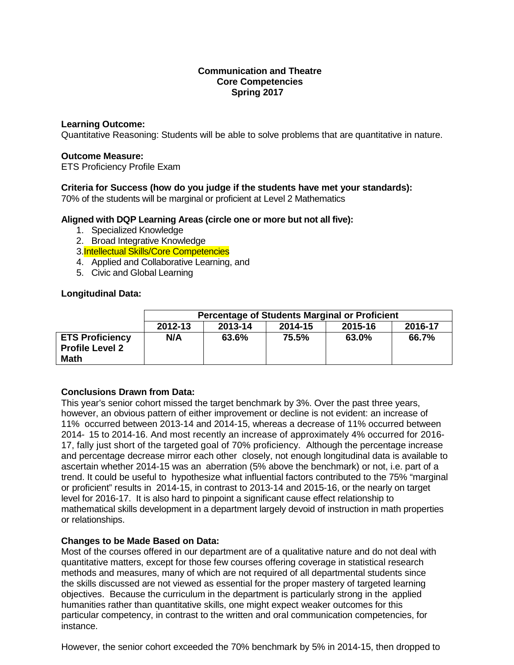# **Learning Outcome:**

Quantitative Reasoning: Students will be able to solve problems that are quantitative in nature.

#### **Outcome Measure:**

ETS Proficiency Profile Exam

#### **Criteria for Success (how do you judge if the students have met your standards):**

70% of the students will be marginal or proficient at Level 2 Mathematics

#### **Aligned with DQP Learning Areas (circle one or more but not all five):**

- 1. Specialized Knowledge
- 2. Broad Integrative Knowledge
- 3.Intellectual Skills/Core Competencies
- 4. Applied and Collaborative Learning, and
- 5. Civic and Global Learning

# **Longitudinal Data:**

|                                                                 | <b>Percentage of Students Marginal or Proficient</b><br>2016-17<br>2012-13<br>2013-14<br>2014-15<br>2015-16 |       |       |       |       |
|-----------------------------------------------------------------|-------------------------------------------------------------------------------------------------------------|-------|-------|-------|-------|
|                                                                 |                                                                                                             |       |       |       |       |
| <b>ETS Proficiency</b><br><b>Profile Level 2</b><br><b>Math</b> | N/A                                                                                                         | 63.6% | 75.5% | 63.0% | 66.7% |

# **Conclusions Drawn from Data:**

This year's senior cohort missed the target benchmark by 3%. Over the past three years, however, an obvious pattern of either improvement or decline is not evident: an increase of 11% occurred between 2013-14 and 2014-15, whereas a decrease of 11% occurred between 2014- 15 to 2014-16. And most recently an increase of approximately 4% occurred for 2016- 17, fally just short of the targeted goal of 70% proficiency. Although the percentage increase and percentage decrease mirror each other closely, not enough longitudinal data is available to ascertain whether 2014-15 was an aberration (5% above the benchmark) or not, i.e. part of a trend. It could be useful to hypothesize what influential factors contributed to the 75% "marginal or proficient" results in 2014-15, in contrast to 2013-14 and 2015-16, or the nearly on target level for 2016-17. It is also hard to pinpoint a significant cause effect relationship to mathematical skills development in a department largely devoid of instruction in math properties or relationships.

#### **Changes to be Made Based on Data:**

Most of the courses offered in our department are of a qualitative nature and do not deal with quantitative matters, except for those few courses offering coverage in statistical research methods and measures, many of which are not required of all departmental students since the skills discussed are not viewed as essential for the proper mastery of targeted learning objectives. Because the curriculum in the department is particularly strong in the applied humanities rather than quantitative skills, one might expect weaker outcomes for this particular competency, in contrast to the written and oral communication competencies, for instance.

However, the senior cohort exceeded the 70% benchmark by 5% in 2014-15, then dropped to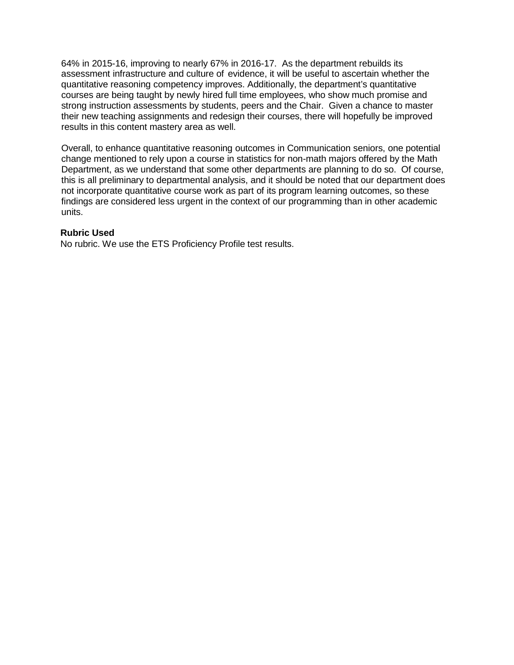64% in 2015-16, improving to nearly 67% in 2016-17. As the department rebuilds its assessment infrastructure and culture of evidence, it will be useful to ascertain whether the quantitative reasoning competency improves. Additionally, the department's quantitative courses are being taught by newly hired full time employees, who show much promise and strong instruction assessments by students, peers and the Chair. Given a chance to master their new teaching assignments and redesign their courses, there will hopefully be improved results in this content mastery area as well.

Overall, to enhance quantitative reasoning outcomes in Communication seniors, one potential change mentioned to rely upon a course in statistics for non-math majors offered by the Math Department, as we understand that some other departments are planning to do so. Of course, this is all preliminary to departmental analysis, and it should be noted that our department does not incorporate quantitative course work as part of its program learning outcomes, so these findings are considered less urgent in the context of our programming than in other academic units.

#### **Rubric Used**

No rubric. We use the ETS Proficiency Profile test results.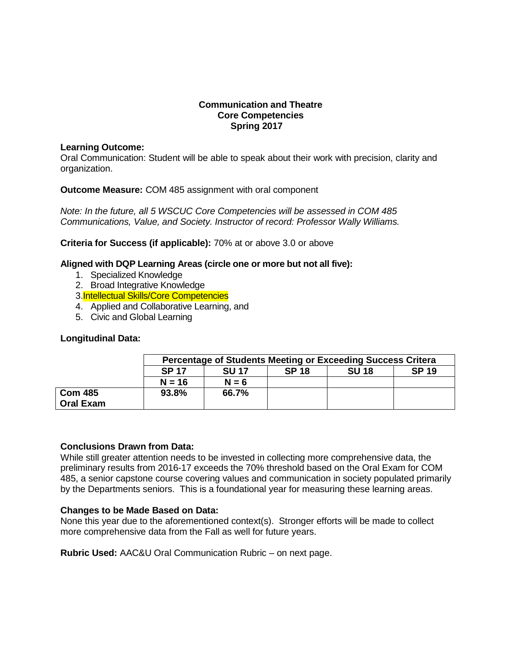#### **Learning Outcome:**

Oral Communication: Student will be able to speak about their work with precision, clarity and organization.

**Outcome Measure:** COM 485 assignment with oral component

*Note: In the future, all 5 WSCUC Core Competencies will be assessed in COM 485 Communications, Value, and Society. Instructor of record: Professor Wally Williams.*

**Criteria for Success (if applicable):** 70% at or above 3.0 or above

# **Aligned with DQP Learning Areas (circle one or more but not all five):**

- 1. Specialized Knowledge
- 2. Broad Integrative Knowledge
- 3.Intellectual Skills/Core Competencies
- 4. Applied and Collaborative Learning, and
- 5. Civic and Global Learning

#### **Longitudinal Data:**

|                  | <b>Percentage of Students Meeting or Exceeding Success Critera</b>           |         |  |  |  |
|------------------|------------------------------------------------------------------------------|---------|--|--|--|
|                  | <b>SP 19</b><br><b>SP 17</b><br><b>SU 18</b><br><b>SP 18</b><br><b>SU 17</b> |         |  |  |  |
|                  | $N = 16$                                                                     | $N = 6$ |  |  |  |
| <b>Com 485</b>   | 93.8%                                                                        | 66.7%   |  |  |  |
| <b>Oral Exam</b> |                                                                              |         |  |  |  |

#### **Conclusions Drawn from Data:**

While still greater attention needs to be invested in collecting more comprehensive data, the preliminary results from 2016-17 exceeds the 70% threshold based on the Oral Exam for COM 485, a senior capstone course covering values and communication in society populated primarily by the Departments seniors. This is a foundational year for measuring these learning areas.

#### **Changes to be Made Based on Data:**

None this year due to the aforementioned context(s). Stronger efforts will be made to collect more comprehensive data from the Fall as well for future years.

**Rubric Used:** AAC&U Oral Communication Rubric – on next page.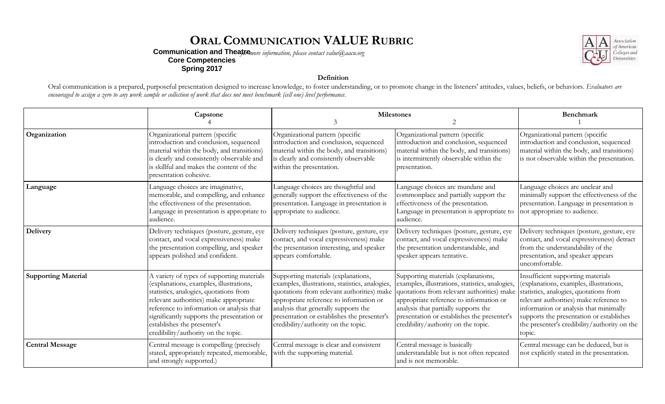# **ORAL COMMUNICATION VALUE RUBRIC**

**Communication and Theatre Core Competencies Spring 2017** *for more information, please contact [value@aacu.org](mailto:value@aacu.org)*

# **Definition**

Oral communication is a prepared, purposeful presentation designed to increase knowledge, to foster understanding, or to promote change in the listeners' attitudes, values, beliefs, or behaviors. *Evaluators are* encouraged to assign a zero to any work sample or collection of work that does not meet benchmark (cell one) level performance.

|                            | Capstone                                                                                                                                                                                                                                                                                                                                   | <b>Milestones</b><br>$\mathcal{Z}$                                                                                                                                                                                                                              |                                                                                                                                                                                                                                                                                                                                                                                                 | <b>Benchmark</b>                                                                                                                                                                                                                                                        |
|----------------------------|--------------------------------------------------------------------------------------------------------------------------------------------------------------------------------------------------------------------------------------------------------------------------------------------------------------------------------------------|-----------------------------------------------------------------------------------------------------------------------------------------------------------------------------------------------------------------------------------------------------------------|-------------------------------------------------------------------------------------------------------------------------------------------------------------------------------------------------------------------------------------------------------------------------------------------------------------------------------------------------------------------------------------------------|-------------------------------------------------------------------------------------------------------------------------------------------------------------------------------------------------------------------------------------------------------------------------|
| Organization               | Organizational pattern (specific<br>introduction and conclusion, sequenced<br>material within the body, and transitions)<br>is clearly and consistently observable and<br>is skillful and makes the content of the<br>presentation cohesive.                                                                                               | Organizational pattern (specific<br>introduction and conclusion, sequenced<br>material within the body, and transitions)<br>is clearly and consistently observable<br>within the presentation.                                                                  | Organizational pattern (specific<br>introduction and conclusion, sequenced<br>material within the body, and transitions)<br>is intermittently observable within the<br>presentation.                                                                                                                                                                                                            | Organizational pattern (specific<br>introduction and conclusion, sequenced<br>material within the body, and transitions)<br>is not observable within the presentation.                                                                                                  |
| Language                   | Language choices are imaginative,<br>memorable, and compelling, and enhance<br>the effectiveness of the presentation.<br>Language in presentation is appropriate to<br>audience.                                                                                                                                                           | Language choices are thoughtful and<br>generally support the effectiveness of the<br>presentation. Language in presentation is<br>appropriate to audience.                                                                                                      | Language choices are mundane and<br>commonplace and partially support the<br>effectiveness of the presentation.<br>Language in presentation is appropriate to<br>audience.                                                                                                                                                                                                                      | Language choices are unclear and<br>minimally support the effectiveness of the<br>presentation. Language in presentation is<br>not appropriate to audience.                                                                                                             |
| <b>Delivery</b>            | Delivery techniques (posture, gesture, eye<br>contact, and vocal expressiveness) make<br>the presentation compelling, and speaker<br>appears polished and confident.                                                                                                                                                                       | Delivery techniques (posture, gesture, eye<br>contact, and vocal expressiveness) make<br>the presentation interesting, and speaker<br>appears comfortable.                                                                                                      | Delivery techniques (posture, gesture, eye<br>contact, and vocal expressiveness) make<br>the presentation understandable, and<br>speaker appears tentative.                                                                                                                                                                                                                                     | Delivery techniques (posture, gesture, eye<br>contact, and vocal expressiveness) detract<br>from the understandability of the<br>presentation, and speaker appears<br>uncomfortable.                                                                                    |
| <b>Supporting Material</b> | A variety of types of supporting materials<br>(explanations, examples, illustrations,<br>statistics, analogies, quotations from<br>relevant authorities) make appropriate<br>reference to information or analysis that<br>significantly supports the presentation or<br>establishes the presenter's<br>credibility/authority on the topic. | Supporting materials (explanations,<br>examples, illustrations, statistics, analogies,<br>appropriate reference to information or<br>analysis that generally supports the<br>presentation or establishes the presenter's<br>credibility/authority on the topic. | Supporting materials (explanations,<br>examples, illustrations, statistics, analogies,<br>quotations from relevant authorities) make quotations from relevant authorities) make statistics, analogies, quotations from<br>appropriate reference to information or<br>analysis that partially supports the<br>presentation or establishes the presenter's<br>credibility/authority on the topic. | Insufficient supporting materials<br>(explanations, examples, illustrations,<br>relevant authorities) make reference to<br>information or analysis that minimally<br>supports the presentation or establishes<br>the presenter's credibility/authority on the<br>topic. |
| <b>Central Message</b>     | Central message is compelling (precisely<br>stated, appropriately repeated, memorable,<br>and strongly supported.)                                                                                                                                                                                                                         | Central message is clear and consistent<br>with the supporting material.                                                                                                                                                                                        | Central message is basically<br>understandable but is not often repeated<br>and is not memorable.                                                                                                                                                                                                                                                                                               | Central message can be deduced, but is<br>not explicitly stated in the presentation.                                                                                                                                                                                    |

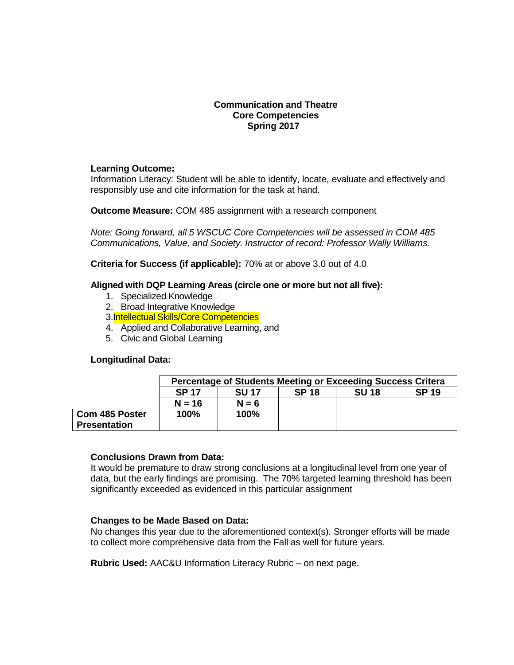# **Learning Outcome:**

Information Literacy: Student will be able to identify, locate, evaluate and effectively and responsibly use and cite information for the task at hand.

**Outcome Measure:** COM 485 assignment with a research component

*Note: Going forward, all 5 WSCUC Core Competencies will be assessed in COM 485 Communications, Value, and Society. Instructor of record: Professor Wally Williams.*

**Criteria for Success (if applicable):** 70% at or above 3.0 out of 4.0

# **Aligned with DQP Learning Areas (circle one or more but not all five):**

- 1. Specialized Knowledge
- 2. Broad Integrative Knowledge
- 3.Intellectual Skills/Core Competencies
- 4. Applied and Collaborative Learning, and
- 5. Civic and Global Learning

#### **Longitudinal Data:**

|                     | <b>Percentage of Students Meeting or Exceeding Success Critera</b>           |         |  |  |  |  |
|---------------------|------------------------------------------------------------------------------|---------|--|--|--|--|
|                     | <b>SP 19</b><br><b>SP 17</b><br><b>SP 18</b><br><b>SU 18</b><br><b>SU 17</b> |         |  |  |  |  |
|                     | $N = 16$                                                                     | $N = 6$ |  |  |  |  |
| Com 485 Poster      | 100%                                                                         | 100%    |  |  |  |  |
| <b>Presentation</b> |                                                                              |         |  |  |  |  |

#### **Conclusions Drawn from Data:**

It would be premature to draw strong conclusions at a longitudinal level from one year of data, but the early findings are promising. The 70% targeted learning threshold has been significantly exceeded as evidenced in this particular assignment

#### **Changes to be Made Based on Data:**

No changes this year due to the aforementioned context(s). Stronger efforts will be made to collect more comprehensive data from the Fall as well for future years.

**Rubric Used:** AAC&U Information Literacy Rubric – on next page.